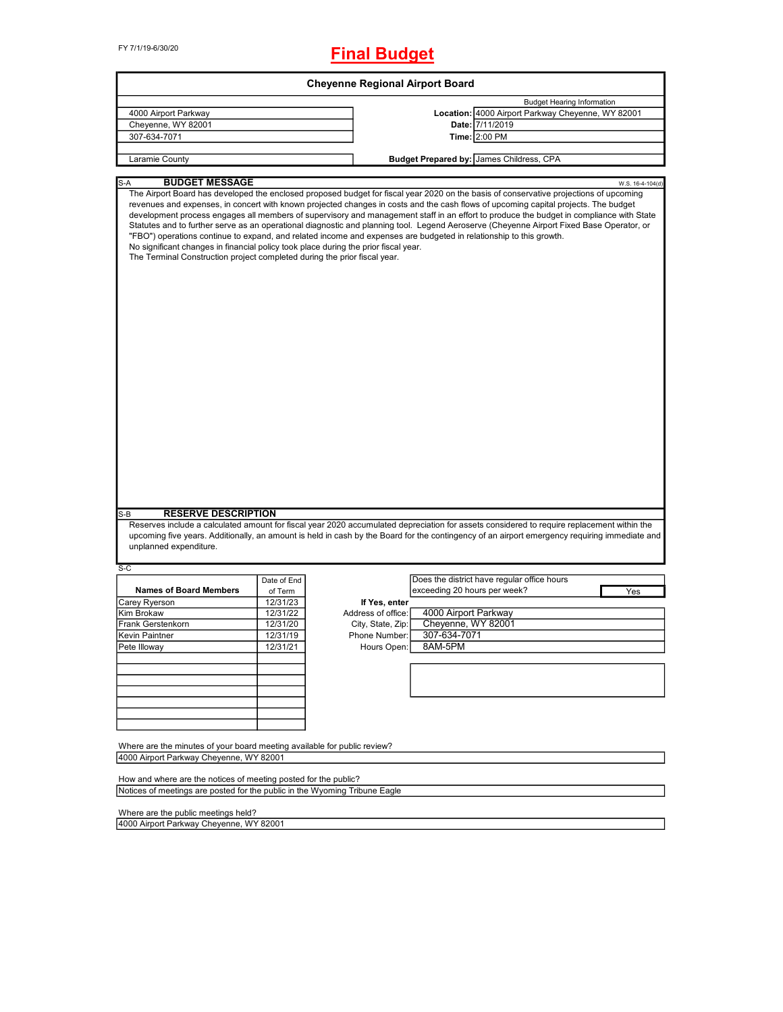# **Final Budget**

|                                                                                                                                                                  |             | <b>Cheyenne Regional Airport Board</b> |                                                                                                                                                                                                                                                                                                                                                                                                                                                                                                                                                                                                                                                                                            |
|------------------------------------------------------------------------------------------------------------------------------------------------------------------|-------------|----------------------------------------|--------------------------------------------------------------------------------------------------------------------------------------------------------------------------------------------------------------------------------------------------------------------------------------------------------------------------------------------------------------------------------------------------------------------------------------------------------------------------------------------------------------------------------------------------------------------------------------------------------------------------------------------------------------------------------------------|
|                                                                                                                                                                  |             |                                        | <b>Budget Hearing Information</b>                                                                                                                                                                                                                                                                                                                                                                                                                                                                                                                                                                                                                                                          |
| 4000 Airport Parkway                                                                                                                                             |             |                                        | Location: 4000 Airport Parkway Cheyenne, WY 82001                                                                                                                                                                                                                                                                                                                                                                                                                                                                                                                                                                                                                                          |
| Cheyenne, WY 82001                                                                                                                                               |             |                                        | Date: 7/11/2019                                                                                                                                                                                                                                                                                                                                                                                                                                                                                                                                                                                                                                                                            |
| 307-634-7071                                                                                                                                                     |             |                                        | Time: 2:00 PM                                                                                                                                                                                                                                                                                                                                                                                                                                                                                                                                                                                                                                                                              |
| Laramie County                                                                                                                                                   |             |                                        | Budget Prepared by: James Childress, CPA                                                                                                                                                                                                                                                                                                                                                                                                                                                                                                                                                                                                                                                   |
|                                                                                                                                                                  |             |                                        |                                                                                                                                                                                                                                                                                                                                                                                                                                                                                                                                                                                                                                                                                            |
| <b>BUDGET MESSAGE</b><br>S-A                                                                                                                                     |             |                                        | W.S. 16-4-104(d)                                                                                                                                                                                                                                                                                                                                                                                                                                                                                                                                                                                                                                                                           |
| No significant changes in financial policy took place during the prior fiscal year.<br>The Terminal Construction project completed during the prior fiscal year. |             |                                        | The Airport Board has developed the enclosed proposed budget for fiscal year 2020 on the basis of conservative projections of upcoming<br>revenues and expenses, in concert with known projected changes in costs and the cash flows of upcoming capital projects. The budget<br>development process engages all members of supervisory and management staff in an effort to produce the budget in compliance with State<br>Statutes and to further serve as an operational diagnostic and planning tool. Legend Aeroserve (Cheyenne Airport Fixed Base Operator, or<br>"FBO") operations continue to expand, and related income and expenses are budgeted in relationship to this growth. |
|                                                                                                                                                                  |             |                                        |                                                                                                                                                                                                                                                                                                                                                                                                                                                                                                                                                                                                                                                                                            |
|                                                                                                                                                                  |             |                                        |                                                                                                                                                                                                                                                                                                                                                                                                                                                                                                                                                                                                                                                                                            |
| <b>RESERVE DESCRIPTION</b>                                                                                                                                       |             |                                        |                                                                                                                                                                                                                                                                                                                                                                                                                                                                                                                                                                                                                                                                                            |
| unplanned expenditure.                                                                                                                                           |             |                                        | Reserves include a calculated amount for fiscal year 2020 accumulated depreciation for assets considered to require replacement within the                                                                                                                                                                                                                                                                                                                                                                                                                                                                                                                                                 |
|                                                                                                                                                                  |             |                                        | upcoming five years. Additionally, an amount is held in cash by the Board for the contingency of an airport emergency requiring immediate and                                                                                                                                                                                                                                                                                                                                                                                                                                                                                                                                              |
|                                                                                                                                                                  | Date of End |                                        | Does the district have regular office hours                                                                                                                                                                                                                                                                                                                                                                                                                                                                                                                                                                                                                                                |
| <b>Names of Board Members</b>                                                                                                                                    | of Term     |                                        | exceeding 20 hours per week?<br>Yes                                                                                                                                                                                                                                                                                                                                                                                                                                                                                                                                                                                                                                                        |
|                                                                                                                                                                  | 12/31/23    | If Yes, enter                          |                                                                                                                                                                                                                                                                                                                                                                                                                                                                                                                                                                                                                                                                                            |
|                                                                                                                                                                  | 12/31/22    | Address of office:                     | 4000 Airport Parkway                                                                                                                                                                                                                                                                                                                                                                                                                                                                                                                                                                                                                                                                       |
|                                                                                                                                                                  | 12/31/20    | City, State, Zip:                      | Cheyenne, WY 82001                                                                                                                                                                                                                                                                                                                                                                                                                                                                                                                                                                                                                                                                         |
|                                                                                                                                                                  | 12/31/19    | Phone Number:                          | 307-634-7071                                                                                                                                                                                                                                                                                                                                                                                                                                                                                                                                                                                                                                                                               |
|                                                                                                                                                                  | 12/31/21    | Hours Open:                            | 8AM-5PM                                                                                                                                                                                                                                                                                                                                                                                                                                                                                                                                                                                                                                                                                    |
|                                                                                                                                                                  |             |                                        |                                                                                                                                                                                                                                                                                                                                                                                                                                                                                                                                                                                                                                                                                            |
|                                                                                                                                                                  |             |                                        |                                                                                                                                                                                                                                                                                                                                                                                                                                                                                                                                                                                                                                                                                            |
|                                                                                                                                                                  |             |                                        |                                                                                                                                                                                                                                                                                                                                                                                                                                                                                                                                                                                                                                                                                            |
|                                                                                                                                                                  |             |                                        |                                                                                                                                                                                                                                                                                                                                                                                                                                                                                                                                                                                                                                                                                            |
| S-B<br>$S-C$<br>Carey Ryerson<br>Kim Brokaw<br>Frank Gerstenkorn<br>Kevin Paintner<br>Pete Illoway                                                               |             |                                        |                                                                                                                                                                                                                                                                                                                                                                                                                                                                                                                                                                                                                                                                                            |
|                                                                                                                                                                  |             |                                        |                                                                                                                                                                                                                                                                                                                                                                                                                                                                                                                                                                                                                                                                                            |
| Where are the minutes of your board meeting available for public review?<br>4000 Airport Parkway Cheyenne, WY 82001                                              |             |                                        |                                                                                                                                                                                                                                                                                                                                                                                                                                                                                                                                                                                                                                                                                            |

Notices of meetings are posted for the public in the Wyoming Tribune Eagle

Where are the public meetings held?

4000 Airport Parkway Cheyenne, WY 82001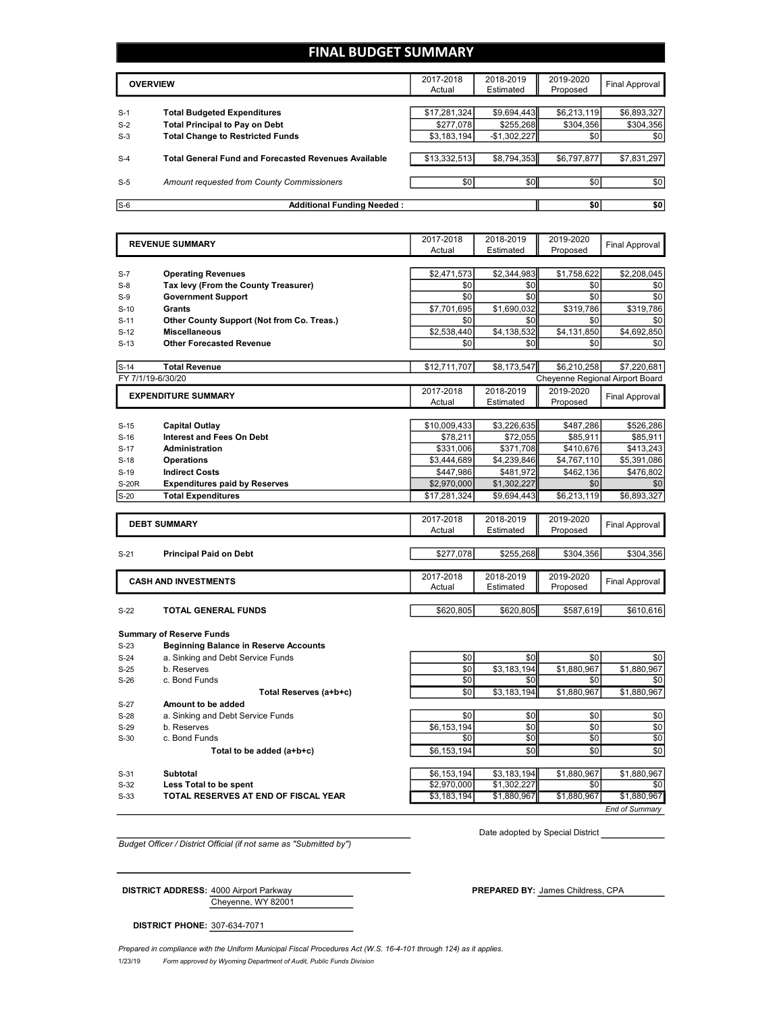## **FINAL BUDGET SUMMARY**

|       | <b>OVERVIEW</b>                                             | 2017-2018<br>Actual | 2018-2019<br>Estimated | 2019-2020<br>Proposed | Final Approval |
|-------|-------------------------------------------------------------|---------------------|------------------------|-----------------------|----------------|
|       |                                                             |                     |                        |                       |                |
| $S-1$ | <b>Total Budgeted Expenditures</b>                          | \$17,281,324        | \$9,694,443            | \$6,213,119           | \$6,893,327    |
| $S-2$ | <b>Total Principal to Pay on Debt</b>                       | \$277,078           | \$255,268              | \$304,356             | \$304,356      |
| $S-3$ | <b>Total Change to Restricted Funds</b>                     | \$3,183,194         | $-$1,302,227$          | \$0                   | \$0            |
|       |                                                             |                     |                        |                       |                |
| $S-4$ | <b>Total General Fund and Forecasted Revenues Available</b> | \$13,332,513        | \$8,794,353            | \$6,797,877           | \$7,831,297    |
|       |                                                             |                     |                        |                       |                |
| $S-5$ | Amount requested from County Commissioners                  | \$0                 | \$0 <sub>1</sub>       | \$0 <sub>1</sub>      | \$0            |
|       |                                                             |                     |                        |                       |                |
| $S-6$ | <b>Additional Funding Needed:</b>                           |                     |                        | \$0                   | \$0            |

|                | <b>REVENUE SUMMARY</b>                       | 2017-2018    | 2018-2019          | 2019-2020          | <b>Final Approval</b>           |
|----------------|----------------------------------------------|--------------|--------------------|--------------------|---------------------------------|
|                |                                              | Actual       | Estimated          | Proposed           |                                 |
| $S-7$          | <b>Operating Revenues</b>                    | \$2,471,573  | \$2,344,983        | \$1,758,622        | \$2,208,045                     |
| $S-8$          | Tax levy (From the County Treasurer)         | \$0          | \$0                | \$0                | \$0                             |
| $S-9$          | <b>Government Support</b>                    | \$0          | \$0                | \$0                | \$0                             |
| $S-10$         | Grants                                       | \$7,701,695  | \$1,690,032        | \$319,786          | \$319,786                       |
| $S-11$         | Other County Support (Not from Co. Treas.)   | \$0          | \$0                | \$0                | \$0                             |
| $S-12$         | <b>Miscellaneous</b>                         | \$2,538,440  | \$4,138,532        | \$4,131,850        | \$4,692,850                     |
| $S-13$         | <b>Other Forecasted Revenue</b>              | \$0          | \$0                | \$0                | \$0                             |
|                |                                              |              |                    |                    |                                 |
| $S-14$         | <b>Total Revenue</b>                         | \$12,711,707 | \$8,173,547        | \$6,210,258        | \$7,220,681                     |
|                | FY 7/1/19-6/30/20                            |              |                    |                    | Cheyenne Regional Airport Board |
|                | <b>EXPENDITURE SUMMARY</b>                   | 2017-2018    | 2018-2019          | 2019-2020          | <b>Final Approval</b>           |
|                |                                              | Actual       | Estimated          | Proposed           |                                 |
| $S-15$         | <b>Capital Outlay</b>                        | \$10,009,433 | \$3,226,635        | \$487,286          | \$526,286                       |
| $S-16$         | <b>Interest and Fees On Debt</b>             | \$78,211     | \$72,055           | \$85,911           | \$85,911                        |
| $S-17$         | <b>Administration</b>                        | \$331,006    | \$371,708          | \$410,676          | \$413,243                       |
| $S-18$         | <b>Operations</b>                            | \$3,444,689  | \$4,239,846        | \$4,767,110        | \$5,391,086                     |
| $S-19$         | <b>Indirect Costs</b>                        | \$447,986    | \$481,972          | \$462,136          | \$476,802                       |
| <b>S-20R</b>   | <b>Expenditures paid by Reserves</b>         | \$2,970,000  | \$1,302,227        | \$0                | \$0                             |
| $S-20$         | <b>Total Expenditures</b>                    | \$17,281,324 | \$9,694,443        | \$6,213,119        | \$6,893,327                     |
|                |                                              |              |                    |                    |                                 |
|                | <b>DEBT SUMMARY</b>                          | 2017-2018    | 2018-2019          | 2019-2020          | Final Approval                  |
|                |                                              | Actual       | Estimated          | Proposed           |                                 |
|                |                                              |              |                    |                    |                                 |
| $S-21$         | <b>Principal Paid on Debt</b>                | \$277,078    | \$255,268          | \$304,356          | \$304,356                       |
|                |                                              | 2017-2018    | 2018-2019          | 2019-2020          |                                 |
|                | <b>CASH AND INVESTMENTS</b>                  | Actual       | Estimated          | Proposed           | <b>Final Approval</b>           |
|                |                                              |              |                    |                    |                                 |
| $S-22$         | TOTAL GENERAL FUNDS                          | \$620,805    | \$620,805          | \$587,619          | \$610,616                       |
|                |                                              |              |                    |                    |                                 |
|                | <b>Summary of Reserve Funds</b>              |              |                    |                    |                                 |
| $S-23$         | <b>Beginning Balance in Reserve Accounts</b> |              |                    |                    |                                 |
| $S-24$         | a. Sinking and Debt Service Funds            | \$0          | \$0                | \$0                | \$0                             |
| $S-25$         | b. Reserves                                  | \$0<br>\$0   | \$3,183,194        | \$1,880,967        | \$1,880,967                     |
| $S-26$         | c. Bond Funds<br>Total Reserves (a+b+c)      | \$0          | \$0<br>\$3,183,194 | \$0<br>\$1,880,967 | \$0<br>\$1,880,967              |
|                | Amount to be added                           |              |                    |                    |                                 |
| S-27<br>$S-28$ | a. Sinking and Debt Service Funds            | \$0          | \$0                | \$0                | \$0                             |
| $S-29$         | b. Reserves                                  | \$6,153,194  | \$0                | \$0                | \$0                             |
| $S-30$         | c. Bond Funds                                | \$0          | \$0                | \$0                | \$0                             |
|                | Total to be added (a+b+c)                    | \$6,153,194  | \$0                | \$0                | \$0                             |
|                |                                              |              |                    |                    |                                 |
| $S-31$         | <b>Subtotal</b>                              | \$6,153,194  | \$3,183,194        | \$1,880,967        | \$1,880,967                     |

S-32 **Less Total to be spent** \$2,970,000 \$1,302,227 \$0 \$0

S-33 **TOTAL RESERVES AT END OF FISCAL YEAR** \$3,183,194 \$1,880,967 \$1,880,967 \$1,880,967

Date adopted by Special District

*End of Summary*

*Budget Officer / District Official (if not same as "Submitted by")*

**DISTRICT ADDRESS:** 4000 Airport Parkway **PREPARED PREPARED BY:** James Childress, CPA

Cheyenne, WY 82001

**DISTRICT PHONE:** 307-634-7071

1/23/19 *Form approved by Wyoming Department of Audit, Public Funds Division Prepared in compliance with the Uniform Municipal Fiscal Procedures Act (W.S. 16-4-101 through 124) as it applies.*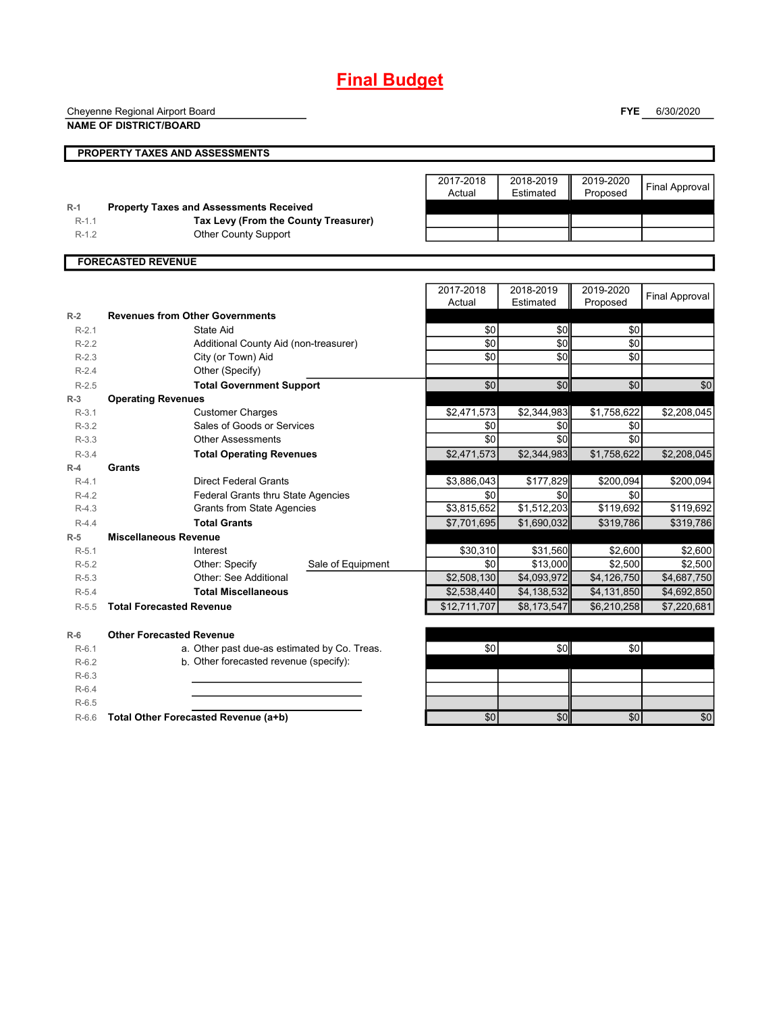# **Final Budget**

Cheyenne Regional Airport Board

**NAME OF DISTRICT/BOARD**

**FYE** 6/30/2020

|         | <b>PROPERTY TAXES AND ASSESSMENTS</b>          |                     |                        |                       |                       |
|---------|------------------------------------------------|---------------------|------------------------|-----------------------|-----------------------|
|         |                                                | 2017-2018<br>Actual | 2018-2019<br>Estimated | 2019-2020<br>Proposed | <b>Final Approval</b> |
| $R-1$   | <b>Property Taxes and Assessments Received</b> |                     |                        |                       |                       |
| $R-1.1$ | Tax Levy (From the County Treasurer)           |                     |                        |                       |                       |
| $R-1.2$ | Other County Support                           |                     |                        |                       |                       |
|         |                                                |                     |                        |                       |                       |
|         | <b>FORECASTED REVENUE</b>                      |                     |                        |                       |                       |
|         |                                                |                     |                        |                       |                       |
|         |                                                | 2017-2018           | 2018-2019              | 2019-2020             | <b>Final Annroval</b> |

|         |                                              |                   | 2017-2018<br>Actual | 2018-2019<br>Estimated | 2019-2020<br>Proposed | <b>Final Approval</b> |
|---------|----------------------------------------------|-------------------|---------------------|------------------------|-----------------------|-----------------------|
| $R-2$   | <b>Revenues from Other Governments</b>       |                   |                     |                        |                       |                       |
| $R-2.1$ | State Aid                                    |                   | \$0                 | \$0                    | \$0                   |                       |
| $R-2.2$ | Additional County Aid (non-treasurer)        |                   | \$0                 | \$0                    | \$0                   |                       |
| $R-2.3$ | City (or Town) Aid                           |                   | \$0                 | \$0                    | \$0                   |                       |
| $R-2.4$ | Other (Specify)                              |                   |                     |                        |                       |                       |
| $R-2.5$ | <b>Total Government Support</b>              |                   | \$0                 | \$0                    | \$0                   | \$0                   |
| $R-3$   | <b>Operating Revenues</b>                    |                   |                     |                        |                       |                       |
| $R-3.1$ | <b>Customer Charges</b>                      |                   | \$2,471,573         | \$2,344,983            | \$1,758,622           | \$2,208,045           |
| $R-3.2$ | Sales of Goods or Services                   |                   | \$0                 | \$0                    | \$0                   |                       |
| $R-3.3$ | <b>Other Assessments</b>                     |                   | \$0                 | \$0                    | \$0                   |                       |
| $R-3.4$ | <b>Total Operating Revenues</b>              |                   | \$2,471,573         | \$2,344,983            | \$1,758,622           | \$2,208,045           |
| $R-4$   | Grants                                       |                   |                     |                        |                       |                       |
| $R-4.1$ | <b>Direct Federal Grants</b>                 |                   | \$3,886,043         | \$177,829              | \$200,094             | \$200,094             |
| $R-4.2$ | <b>Federal Grants thru State Agencies</b>    |                   | \$0                 | \$0                    | \$0                   |                       |
| $R-4.3$ | <b>Grants from State Agencies</b>            |                   | \$3,815,652         | $\overline{1,512,203}$ | \$119,692             | \$119,692             |
| $R-4.4$ | <b>Total Grants</b>                          |                   | \$7,701,695         | \$1,690,032            | \$319,786             | \$319,786             |
| $R-5$   | <b>Miscellaneous Revenue</b>                 |                   |                     |                        |                       |                       |
| $R-5.1$ | Interest                                     |                   | \$30,310            | \$31,560               | \$2,600               | \$2,600               |
| $R-5.2$ | Other: Specify                               | Sale of Equipment | \$0                 | \$13,000               | \$2,500               | \$2,500               |
| $R-5.3$ | Other: See Additional                        |                   | \$2,508,130         | \$4,093,972            | \$4,126,750           | \$4,687,750           |
| $R-5.4$ | <b>Total Miscellaneous</b>                   |                   | \$2,538,440         | \$4,138,532            | \$4,131,850           | \$4,692,850           |
| $R-5.5$ | <b>Total Forecasted Revenue</b>              |                   | \$12,711,707        | \$8,173,547            | \$6,210,258           | \$7,220,681           |
| $R-6$   | <b>Other Forecasted Revenue</b>              |                   |                     |                        |                       |                       |
| $R-6.1$ | a. Other past due-as estimated by Co. Treas. |                   | \$0                 | \$0                    | \$0                   |                       |
| $R-6.2$ | b. Other forecasted revenue (specify):       |                   |                     |                        |                       |                       |
| $R-6.3$ |                                              |                   |                     |                        |                       |                       |
| $R-6.4$ |                                              |                   |                     |                        |                       |                       |
| $R-6.5$ |                                              |                   |                     |                        |                       |                       |
| $R-6.6$ | Total Other Forecasted Revenue (a+b)         |                   | \$0                 | \$0                    | \$0                   | \$0                   |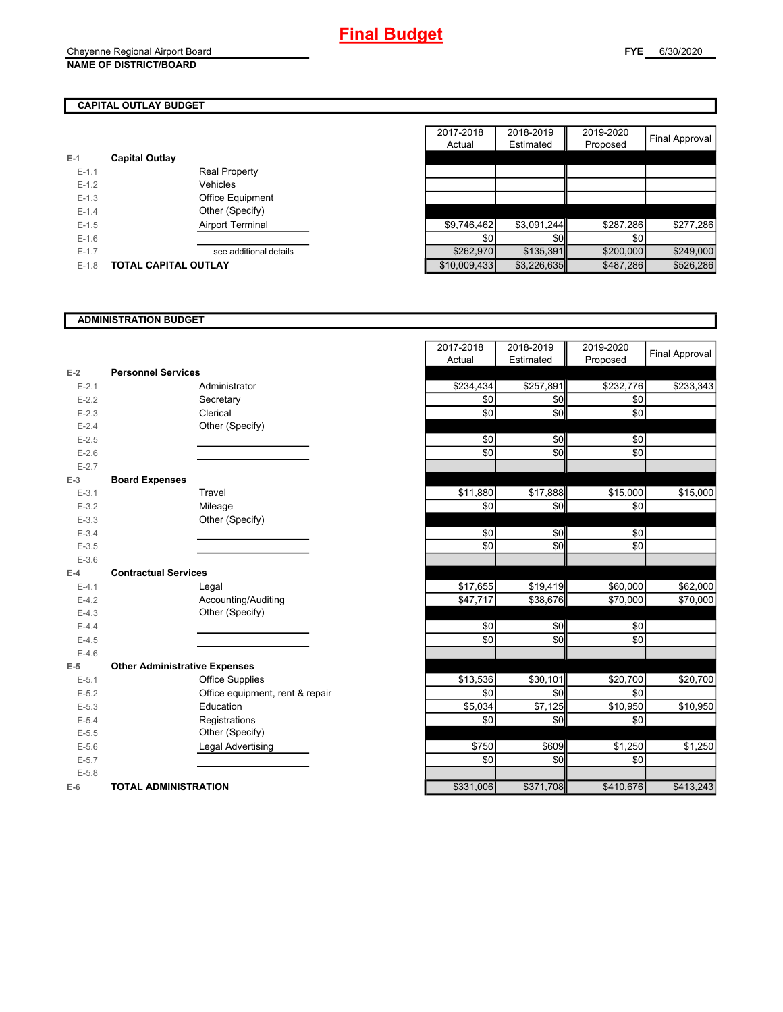#### Cheyenne Regional Airport Board **NAME OF DISTRICT/BOARD**

## **CAPITAL OUTLAY BUDGET**

| $E-1$   | <b>Capital Outlay</b> |                         |
|---------|-----------------------|-------------------------|
| $F-11$  |                       | Real Property           |
| $F-12$  |                       | Vehicles                |
| $F-1.3$ |                       | <b>Office Equipment</b> |
| $F-14$  |                       | Other (Specify)         |
| $F-1.5$ |                       | <b>Airport Terminal</b> |
| $F-16$  |                       |                         |
| $F-17$  |                       | see additional details  |
| $F-1.8$ | TOTAL CAPITAL OUTLAY  |                         |

|         |                             | 2017-2018    | 2018-2019   | 2019-2020 |                |
|---------|-----------------------------|--------------|-------------|-----------|----------------|
|         |                             | Actual       | Estimated   | Proposed  | Final Approval |
|         | <b>Capital Outlay</b>       |              |             |           |                |
| $E-1.1$ | Real Property               |              |             |           |                |
| $E-1.2$ | Vehicles                    |              |             |           |                |
| $E-1.3$ | Office Equipment            |              |             |           |                |
| $E-1.4$ | Other (Specify)             |              |             |           |                |
| $E-1.5$ | Airport Terminal            | \$9,746,462  | \$3,091,244 | \$287,286 | \$277,286      |
| $E-1.6$ |                             | \$0          | \$0         | \$0       |                |
| $E-1.7$ | see additional details      | \$262,970    | \$135,391   | \$200,000 | \$249,000      |
| $E-1.8$ | <b>TOTAL CAPITAL OUTLAY</b> | \$10,009,433 | \$3,226,635 | \$487,286 | \$526,286      |

#### **ADMINISTRATION BUDGET**

|           |                                      |                                 | Aulual    | Estimateu | <b>FIUPUSEU</b> |
|-----------|--------------------------------------|---------------------------------|-----------|-----------|-----------------|
| $E-2$     | <b>Personnel Services</b>            |                                 |           |           |                 |
| $E - 2.1$ |                                      | Administrator                   | \$234,434 | \$257,891 | \$232,776       |
| $E-2.2$   |                                      | Secretary                       | \$0       | \$0       | \$0             |
| $E - 2.3$ |                                      | Clerical                        | \$0       | \$0       | \$0             |
| $E - 2.4$ |                                      | Other (Specify)                 |           |           |                 |
| $E-2.5$   |                                      |                                 | \$0       | \$0       | \$0             |
| $E-2.6$   |                                      |                                 | \$0       | \$0       | \$0             |
| $E - 2.7$ |                                      |                                 |           |           |                 |
| $E-3$     | <b>Board Expenses</b>                |                                 |           |           |                 |
| $E - 3.1$ |                                      | Travel                          | \$11,880  | \$17,888  | \$15,000        |
| $E - 3.2$ |                                      | Mileage                         | \$0       | \$0       | \$0             |
| $E - 3.3$ |                                      | Other (Specify)                 |           |           |                 |
| $E - 3.4$ |                                      |                                 | \$0       | \$0       | \$0             |
| $E - 3.5$ |                                      |                                 | \$0       | \$0       | \$0             |
| $E-3.6$   |                                      |                                 |           |           |                 |
| $E-4$     | <b>Contractual Services</b>          |                                 |           |           |                 |
| $E - 4.1$ |                                      | Legal                           | \$17,655  | \$19,419  | \$60,000        |
| $E-4.2$   |                                      | Accounting/Auditing             | \$47,717  | \$38,676  | \$70,000        |
| $E - 4.3$ |                                      | Other (Specify)                 |           |           |                 |
| $E-4.4$   |                                      |                                 | \$0       | \$0       | \$0             |
| $E-4.5$   |                                      |                                 | \$0       | \$0       | \$0             |
| $E-4.6$   |                                      |                                 |           |           |                 |
| $E-5$     | <b>Other Administrative Expenses</b> |                                 |           |           |                 |
| $E - 5.1$ |                                      | <b>Office Supplies</b>          | \$13,536  | \$30,101  | \$20,700        |
| $E - 5.2$ |                                      | Office equipment, rent & repair | \$0       | \$0       | \$0             |
| $E - 5.3$ |                                      | Education                       | \$5,034   | \$7,125   | \$10,950        |
| $E - 5.4$ |                                      | Registrations                   | \$0       | \$0       | \$0             |
| $E - 5.5$ |                                      | Other (Specify)                 |           |           |                 |
| $E - 5.6$ |                                      | Legal Advertising               | \$750     | \$609     | \$1,250         |
| $E - 5.7$ |                                      |                                 | \$0       | \$0       | \$0             |
| $E - 5.8$ |                                      |                                 |           |           |                 |
| $E-6$     | <b>TOTAL ADMINISTRATION</b>          |                                 | \$331,006 | \$371,708 | \$410,676       |

|           |                                      | 2017-2018  | 2018-2019            | 2019-2020  |                |
|-----------|--------------------------------------|------------|----------------------|------------|----------------|
|           |                                      | Actual     | Estimated            | Proposed   | Final Approval |
| $E-2$     | <b>Personnel Services</b>            |            |                      |            |                |
| $E - 2.1$ | Administrator                        | \$234,434  | \$257,891            | \$232,776  | \$233,343      |
| $E - 2.2$ | Secretary                            | \$0        | \$0                  | \$0        |                |
| $E - 2.3$ | Clerical                             | \$0        | \$0                  | \$0        |                |
| $E - 2.4$ | Other (Specify)                      |            |                      |            |                |
| $E - 2.5$ |                                      | \$0        | \$0                  | \$0        |                |
| $E - 2.6$ |                                      | $\sqrt{6}$ | \$0                  | $\sqrt{6}$ |                |
| $E - 2.7$ |                                      |            |                      |            |                |
| $E-3$     | <b>Board Expenses</b>                |            |                      |            |                |
| $E-3.1$   | Travel                               | \$11,880   | $\overline{$}17,888$ | \$15,000   | \$15,000       |
| $E - 3.2$ | Mileage                              | \$0        | \$0                  | \$0        |                |
| $E-3.3$   | Other (Specify)                      |            |                      |            |                |
| $E - 3.4$ |                                      | \$0        | \$0                  | \$0        |                |
| $E-3.5$   |                                      | \$0        | \$0                  | \$0        |                |
| $E-3.6$   |                                      |            |                      |            |                |
| $E-4$     | <b>Contractual Services</b>          |            |                      |            |                |
| $E - 4.1$ | Legal                                | \$17,655   | \$19,419             | \$60,000   | \$62,000       |
| $E-4.2$   | Accounting/Auditing                  | \$47,717   | \$38,676             | \$70,000   | \$70,000       |
| $E-4.3$   | Other (Specify)                      |            |                      |            |                |
| $E - 4.4$ |                                      | \$0        | \$0                  | \$0        |                |
| $E-4.5$   |                                      | \$0        | \$0                  | \$0        |                |
| $E-4.6$   |                                      |            |                      |            |                |
| $E-5$     | <b>Other Administrative Expenses</b> |            |                      |            |                |
| $E-5.1$   | <b>Office Supplies</b>               | \$13,536   | \$30,101             | \$20,700   | \$20,700       |
| $E-5.2$   | Office equipment, rent & repair      | \$0        | \$0                  | \$0        |                |
| $E - 5.3$ | Education                            | \$5,034    | \$7,125              | \$10,950   | \$10,950       |
| $E - 5.4$ | Registrations                        | \$0        | \$0                  | \$0        |                |
| $E - 5.5$ | Other (Specify)                      |            |                      |            |                |
| $E-5.6$   | Legal Advertising                    | \$750      | \$609                | \$1,250    | \$1,250        |
| $E-5.7$   |                                      | \$0        | \$0                  | \$0        |                |
| $E - 5.8$ |                                      |            |                      |            |                |
| $E-6$     | <b>TOTAL ADMINISTRATION</b>          | \$331,006  | \$371,708            | \$410,676  | \$413,243      |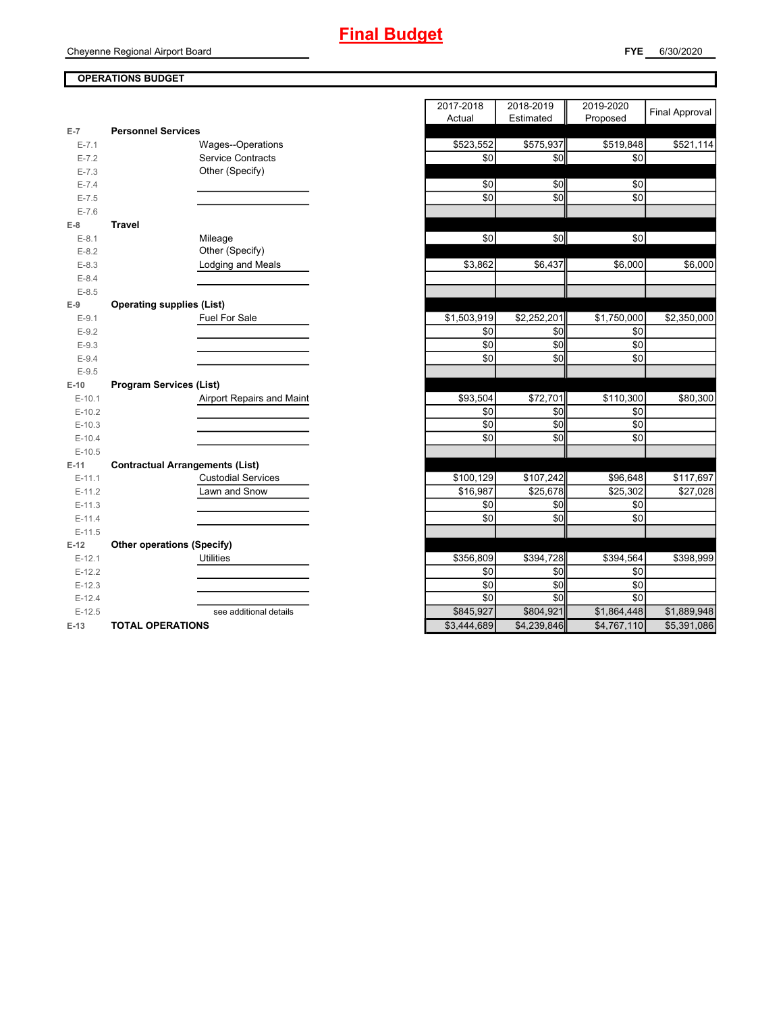### **OPERATIONS BUDGET**

| $E-7$     | <b>Personnel Services</b>              |             |             |             |
|-----------|----------------------------------------|-------------|-------------|-------------|
| $E - 7.1$ | Wages--Operations                      | \$523,552   | \$575,937   | \$519,848   |
| $E - 7.2$ | <b>Service Contracts</b>               | \$0         | \$0         | \$0         |
| $E - 7.3$ | Other (Specify)                        |             |             |             |
| $E - 7.4$ |                                        | \$0         | \$0         | \$0         |
| $E - 7.5$ |                                        | \$0         | \$0         | \$0         |
| $E - 7.6$ |                                        |             |             |             |
| $E-8$     | <b>Travel</b>                          |             |             |             |
| $E-8.1$   | Mileage                                | \$0         | \$0         | \$0         |
| $E-8.2$   | Other (Specify)                        |             |             |             |
| $E-8.3$   | Lodging and Meals                      | \$3,862     | \$6,437     | \$6,000     |
| $E - 8.4$ |                                        |             |             |             |
| $E-8.5$   |                                        |             |             |             |
| $E-9$     | <b>Operating supplies (List)</b>       |             |             |             |
| $E-9.1$   | Fuel For Sale                          | \$1,503,919 | \$2,252,201 | \$1,750,000 |
| $E-9.2$   |                                        | \$0         | \$0         | \$0         |
| $E-9.3$   |                                        | \$0         | \$0         | \$0         |
| $E-9.4$   |                                        | \$0         | \$0         | \$0         |
| $E-9.5$   |                                        |             |             |             |
| $E-10$    | <b>Program Services (List)</b>         |             |             |             |
| $E-10.1$  | Airport Repairs and Maint              | \$93,504    | \$72,701    | \$110,300   |
| $E-10.2$  |                                        | \$0         | \$0         | \$0         |
| $E-10.3$  |                                        | \$0         | \$0         | \$0         |
| $E-10.4$  |                                        | \$0         | \$0         | \$0         |
| $E-10.5$  |                                        |             |             |             |
| $E-11$    | <b>Contractual Arrangements (List)</b> |             |             |             |
| $E-11.1$  | <b>Custodial Services</b>              | \$100,129   | \$107,242   | \$96,648    |
| $E-11.2$  | Lawn and Snow                          | \$16,987    | \$25,678    | \$25,302    |
| $E-11.3$  |                                        | \$0         | \$0         | \$0         |
| $E-11.4$  |                                        | \$0         | \$0         | \$0         |
| $E-11.5$  |                                        |             |             |             |
| $E-12$    | <b>Other operations (Specify)</b>      |             |             |             |
| $E-12.1$  | <b>Utilities</b>                       | \$356,809   | \$394,728   | \$394,564   |
| $E-12.2$  |                                        | \$0         | \$0         | \$0         |
| $E-12.3$  |                                        | \$0         | \$0         | \$0         |
| $E-12.4$  |                                        | \$0         | \$0         | \$0         |
| $E-12.5$  | see additional details                 | \$845,927   | \$804,921   | \$1,864,448 |
| $-10$     |                                        | 00 111 000  | 0.4000040   | 0.4707440   |

|           |                                        |                           | 2017-2018   | 2018-2019   | 2019-2020   | Final Approval |
|-----------|----------------------------------------|---------------------------|-------------|-------------|-------------|----------------|
|           |                                        |                           | Actual      | Estimated   | Proposed    |                |
| $E-7$     | <b>Personnel Services</b>              |                           |             |             |             |                |
| $E - 7.1$ |                                        | Wages--Operations         | \$523,552   | \$575,937   | \$519,848   | \$521,114      |
| $E - 7.2$ |                                        | Service Contracts         | \$0         | \$0         | \$0         |                |
| $E - 7.3$ |                                        | Other (Specify)           |             |             |             |                |
| $E - 7.4$ |                                        |                           | \$0         | \$0         | \$0         |                |
| $E - 7.5$ |                                        |                           | \$0         | \$0         | \$0         |                |
| $E - 7.6$ |                                        |                           |             |             |             |                |
| $E-8$     | <b>Travel</b>                          |                           |             |             |             |                |
| $E-8.1$   |                                        | Mileage                   | \$0         | \$0         | \$0         |                |
| $E-8.2$   |                                        | Other (Specify)           |             |             |             |                |
| $E-8.3$   |                                        | Lodging and Meals         | \$3,862     | \$6,437     | \$6,000     | \$6,000        |
| $E - 8.4$ |                                        |                           |             |             |             |                |
| $E-8.5$   |                                        |                           |             |             |             |                |
| $E-9$     | <b>Operating supplies (List)</b>       |                           |             |             |             |                |
| $E-9.1$   |                                        | Fuel For Sale             | \$1,503,919 | \$2,252,201 | \$1,750,000 | \$2,350,000    |
| $E-9.2$   |                                        |                           | \$0         | \$0         | \$0         |                |
| $E-9.3$   |                                        |                           | \$0         | \$0         | \$0         |                |
| $E-9.4$   |                                        |                           | \$0         | \$0         | \$0         |                |
| $E-9.5$   |                                        |                           |             |             |             |                |
| $E-10$    | <b>Program Services (List)</b>         |                           |             |             |             |                |
| $E-10.1$  |                                        | Airport Repairs and Maint | \$93,504    | \$72,701    | \$110,300   | \$80,300       |
| $E-10.2$  |                                        |                           | \$0         | \$0         | \$0         |                |
| $E-10.3$  |                                        |                           | \$0         | \$0         | \$0         |                |
| $E-10.4$  |                                        |                           | \$0         | \$0         | \$0         |                |
| $E-10.5$  |                                        |                           |             |             |             |                |
| $E-11$    | <b>Contractual Arrangements (List)</b> |                           |             |             |             |                |
| $E-11.1$  |                                        | <b>Custodial Services</b> | \$100,129   | \$107,242   | \$96,648    | \$117,697      |
| $E-11.2$  |                                        | Lawn and Snow             | \$16,987    | \$25,678    | \$25,302    | \$27,028       |
| $E-11.3$  |                                        |                           | \$0         | \$0         | \$0         |                |
| $E-11.4$  |                                        |                           | \$0         | \$0         | \$0         |                |
| $E-11.5$  |                                        |                           |             |             |             |                |
| $E-12$    | <b>Other operations (Specify)</b>      |                           |             |             |             |                |
| $E-12.1$  |                                        | <b>Utilities</b>          | \$356,809   | \$394,728   | \$394,564   | \$398,999      |
| $E-12.2$  |                                        |                           | \$0         | \$0         | \$0         |                |
| $E-12.3$  |                                        |                           | \$0         | \$0         | \$0         |                |
| $E-12.4$  |                                        |                           | \$0         | \$0         | \$0         |                |
| $E-12.5$  |                                        | see additional details    | \$845,927   | \$804,921   | \$1,864,448 | \$1,889,948    |
| $E-13$    | <b>TOTAL OPERATIONS</b>                |                           | \$3,444,689 | \$4,239,846 | \$4,767,110 | \$5,391,086    |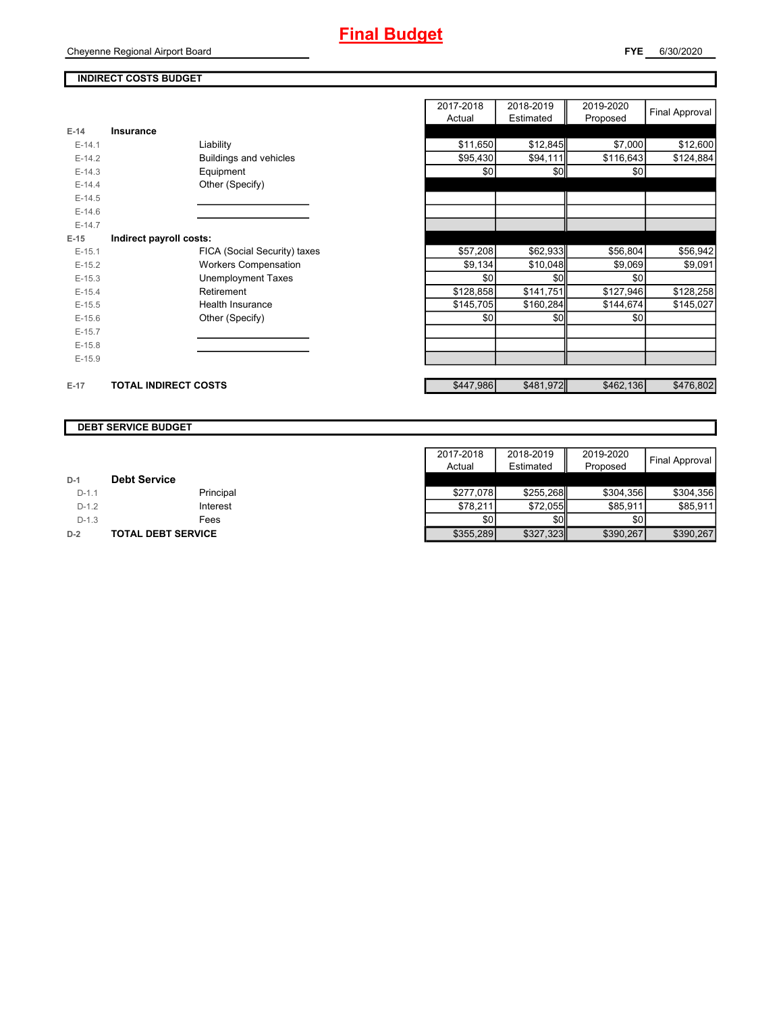### **INDIRECT COSTS BUDGET**

Cheyenne Regional Airport Board

|          |                              | 2017-2018 | 2018-2019 | 2019-2020 | Final Approval |
|----------|------------------------------|-----------|-----------|-----------|----------------|
|          |                              | Actual    | Estimated | Proposed  |                |
| $E-14$   | Insurance                    |           |           |           |                |
| $E-14.1$ | Liability                    | \$11,650  | \$12,845  | \$7,000   | \$12,600       |
| $E-14.2$ | Buildings and vehicles       | \$95,430  | \$94,111  | \$116,643 | \$124,884      |
| $E-14.3$ | Equipment                    | \$0       | \$0       | \$0       |                |
| $E-14.4$ | Other (Specify)              |           |           |           |                |
| $E-14.5$ |                              |           |           |           |                |
| $E-14.6$ |                              |           |           |           |                |
| $E-14.7$ |                              |           |           |           |                |
| $E-15$   | Indirect payroll costs:      |           |           |           |                |
| $E-15.1$ | FICA (Social Security) taxes | \$57,208  | \$62,933  | \$56,804  | \$56,942       |
| $E-15.2$ | <b>Workers Compensation</b>  | \$9,134   | \$10,048  | \$9,069   | \$9,091        |
| $E-15.3$ | <b>Unemployment Taxes</b>    | \$0       | \$0       | \$0       |                |
| $E-15.4$ | Retirement                   | \$128,858 | \$141,751 | \$127,946 | \$128,258      |
| $E-15.5$ | <b>Health Insurance</b>      | \$145,705 | \$160,284 | \$144,674 | \$145,027      |
| $E-15.6$ | Other (Specify)              | \$0       | \$0       | \$0       |                |
| $E-15.7$ |                              |           |           |           |                |
| $E-15.8$ |                              |           |           |           |                |
| $E-15.9$ |                              |           |           |           |                |
| $E-17$   | <b>TOTAL INDIRECT COSTS</b>  | \$447,986 | \$481,972 | \$462,136 | \$476,802      |

#### **DEBT SERVICE BUDGET**

|         |                           | 2017-2018<br>Actual | 2018-2019<br>Estimated | 2019-2020<br>Proposed | Final Approval I |
|---------|---------------------------|---------------------|------------------------|-----------------------|------------------|
| $D-1$   | <b>Debt Service</b>       |                     |                        |                       |                  |
| $D-1.1$ | Principal                 | \$277.078           | \$255.268              | \$304.356             | \$304.356        |
| $D-1.2$ | Interest                  | \$78.211            | \$72.055               | \$85.911              | \$85.911         |
| $D-1.3$ | Fees                      | \$0                 | <b>\$01</b>            | \$0                   |                  |
| $D-2$   | <b>TOTAL DEBT SERVICE</b> | \$355,289           | \$327,323              | \$390,267             | \$390,267        |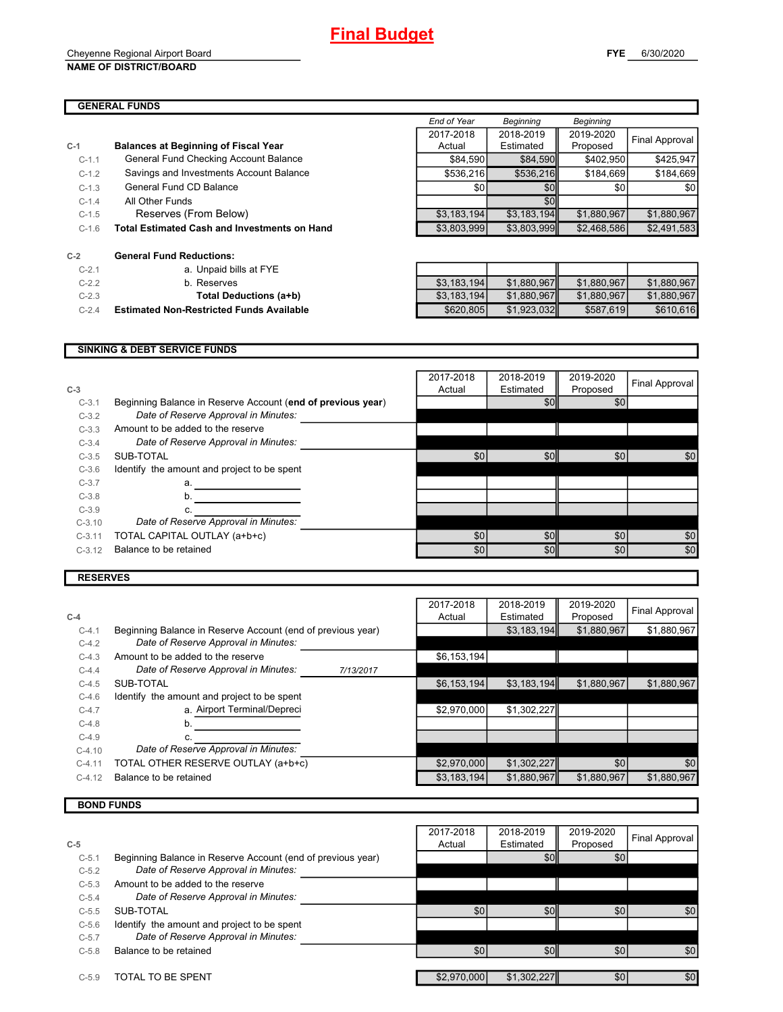#### Cheyenne Regional Airport Board **NAME OF DISTRICT/BOARD**

|         |                                                     | End of Year | Beginning   | Beginning   |                  |
|---------|-----------------------------------------------------|-------------|-------------|-------------|------------------|
|         |                                                     | 2017-2018   | 2018-2019   | 2019-2020   |                  |
| $C-1$   | <b>Balances at Beginning of Fiscal Year</b>         | Actual      | Estimated   | Proposed    | Final Approval   |
| $C-1.1$ | General Fund Checking Account Balance               | \$84.590    | \$84,590    | \$402.950   | \$425.947        |
| $C-1.2$ | Savings and Investments Account Balance             | \$536.216   | \$536.216   | \$184.669   | \$184.669        |
| $C-1.3$ | General Fund CD Balance                             | \$0         | \$0         | \$0         | \$0 <sub>0</sub> |
| $C-1.4$ | All Other Funds                                     |             | \$0         |             |                  |
| $C-1.5$ | Reserves (From Below)                               | \$3,183,194 | \$3,183,194 | \$1,880,967 | \$1.880.967      |
| $C-1.6$ | <b>Total Estimated Cash and Investments on Hand</b> | \$3,803,999 | \$3,803,999 | \$2,468,586 | \$2,491,583      |

| $C-2$    | <b>General Fund Reductions:</b>               |
|----------|-----------------------------------------------|
| $C-2.1$  | a. Unpaid bills at FYE                        |
| $C-2.2$  | b. Reserves                                   |
| $C-2.3$  | Total Deductions (a+b)                        |
| $C - 24$ | <b>Estimated Non-Restricted Funds Availab</b> |

| $C-2.1$ | a. Unpaid bills at FYE                          |             |             |             |             |
|---------|-------------------------------------------------|-------------|-------------|-------------|-------------|
| $C-2.2$ | b. Reserves                                     | \$3.183.194 | \$1.880.967 | \$1.880.967 | \$1.880.967 |
| $C-2.3$ | Total Deductions (a+b)                          | \$3,183,194 | \$1,880,967 | \$1.880.967 | \$1.880.967 |
| $C-2.4$ | <b>Estimated Non-Restricted Funds Available</b> | \$620,805   | \$1,923,032 | \$587.619   | \$610,616   |

#### **SINKING & DEBT SERVICE FUNDS**

| $C-3$    |                                                             | 2017-2018<br>Actual | 2018-2019<br>Estimated | 2019-2020<br>Proposed | Final Approval |
|----------|-------------------------------------------------------------|---------------------|------------------------|-----------------------|----------------|
| $C-3.1$  | Beginning Balance in Reserve Account (end of previous year) |                     | \$0                    | \$0                   |                |
| $C-3.2$  | Date of Reserve Approval in Minutes:                        |                     |                        |                       |                |
| $C-3.3$  | Amount to be added to the reserve                           |                     |                        |                       |                |
| $C-3.4$  | Date of Reserve Approval in Minutes:                        |                     |                        |                       |                |
| $C-3.5$  | SUB-TOTAL                                                   | \$0                 | \$0                    | \$0                   | \$0            |
| $C-3.6$  | Identify the amount and project to be spent                 |                     |                        |                       |                |
| $C-3.7$  | a.                                                          |                     |                        |                       |                |
| $C-3.8$  | b.                                                          |                     |                        |                       |                |
| $C-3.9$  |                                                             |                     |                        |                       |                |
| $C-3.10$ | Date of Reserve Approval in Minutes:                        |                     |                        |                       |                |
| $C-3.11$ | TOTAL CAPITAL OUTLAY (a+b+c)                                | \$0                 | \$0                    | \$0                   | \$0            |
| $C-3.12$ | Balance to be retained                                      | \$0                 | \$0                    | \$0                   | \$0            |
|          |                                                             |                     |                        |                       |                |

#### **RESERVES**

|          |                                                             |           | 2017-2018   | 2018-2019   | 2019-2020   | <b>Final Approval</b> |
|----------|-------------------------------------------------------------|-----------|-------------|-------------|-------------|-----------------------|
| $C-4$    |                                                             |           | Actual      | Estimated   | Proposed    |                       |
| $C-4.1$  | Beginning Balance in Reserve Account (end of previous year) |           |             | \$3,183,194 | \$1,880,967 | \$1,880,967           |
| $C-4.2$  | Date of Reserve Approval in Minutes:                        |           |             |             |             |                       |
| $C-4.3$  | Amount to be added to the reserve                           |           | \$6,153,194 |             |             |                       |
| $C-4.4$  | Date of Reserve Approval in Minutes:                        | 7/13/2017 |             |             |             |                       |
| $C-4.5$  | SUB-TOTAL                                                   |           | \$6,153,194 | \$3,183,194 | \$1,880,967 | \$1,880,967           |
| $C-4.6$  | Identify the amount and project to be spent                 |           |             |             |             |                       |
| $C-4.7$  | a. Airport Terminal/Depreci                                 |           | \$2,970,000 | \$1,302,227 |             |                       |
| $C-4.8$  | b.                                                          |           |             |             |             |                       |
| $C-4.9$  | c.                                                          |           |             |             |             |                       |
| $C-4.10$ | Date of Reserve Approval in Minutes:                        |           |             |             |             |                       |
| $C-4.11$ | TOTAL OTHER RESERVE OUTLAY (a+b+c)                          |           | \$2,970,000 | \$1,302,227 | \$0         | \$0                   |
| $C-4.12$ | Balance to be retained                                      |           | \$3,183,194 | \$1,880,967 | \$1,880,967 | \$1,880,967           |
|          |                                                             |           |             |             |             |                       |

## **BOND FUNDS**

|         |                                                             | 2017-2018   | 2018-2019   | 2019-2020 | Final Approval |
|---------|-------------------------------------------------------------|-------------|-------------|-----------|----------------|
| $C-5$   |                                                             | Actual      | Estimated   | Proposed  |                |
| $C-5.1$ | Beginning Balance in Reserve Account (end of previous year) |             | \$0         | \$0       |                |
| $C-5.2$ | Date of Reserve Approval in Minutes:                        |             |             |           |                |
| $C-5.3$ | Amount to be added to the reserve                           |             |             |           |                |
| $C-5.4$ | Date of Reserve Approval in Minutes:                        |             |             |           |                |
| $C-5.5$ | SUB-TOTAL                                                   | \$0         | \$0         | \$0       | \$0            |
| $C-5.6$ | Identify the amount and project to be spent                 |             |             |           |                |
| $C-5.7$ | Date of Reserve Approval in Minutes:                        |             |             |           |                |
| $C-5.8$ | Balance to be retained                                      | \$0         | \$0         | \$0       | \$0            |
|         |                                                             |             |             |           |                |
| $C-5.9$ | TOTAL TO BE SPENT                                           | \$2,970,000 | \$1,302,227 | \$0       | \$0            |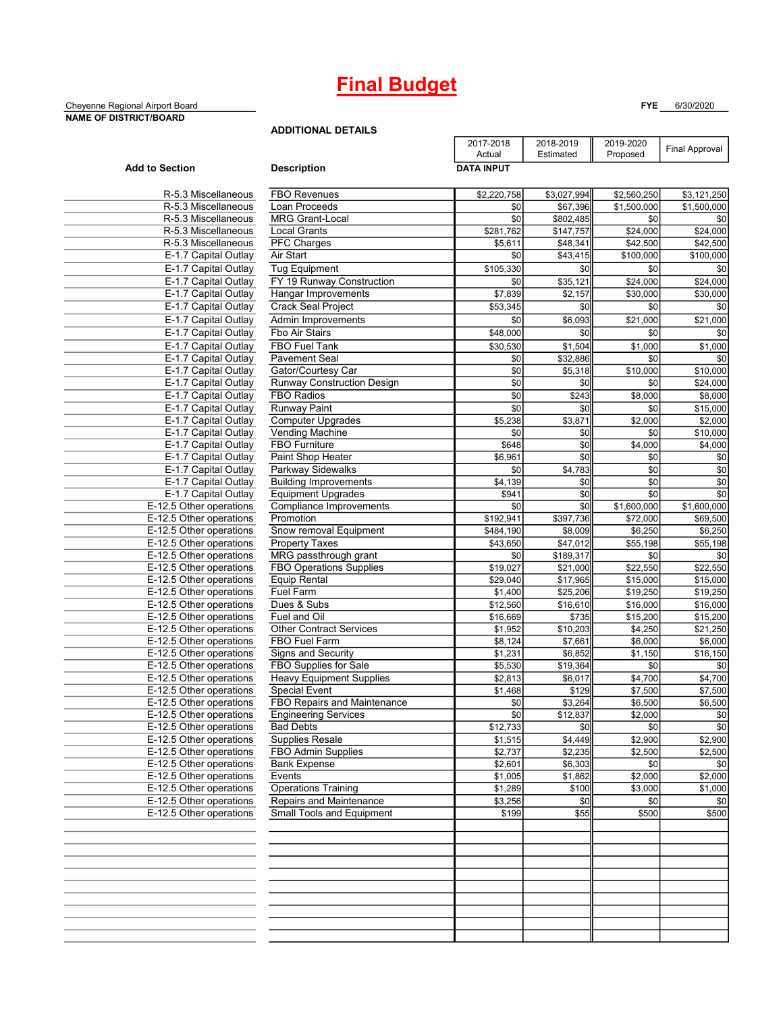# **Final Budget**

#### Cheyenne Regional Airport Board **FYE** 6/30/2020 **NAME OF DISTRICT/BOARD**

**ADDITIONAL DETAILS**

|                                                    |                                                       | 2017-2018            | 2018-2019            | 2019-2020   | Final Approval |
|----------------------------------------------------|-------------------------------------------------------|----------------------|----------------------|-------------|----------------|
|                                                    |                                                       | Actual               | Estimated            | Proposed    |                |
| <b>Add to Section</b>                              | <b>Description</b>                                    | <b>DATA INPUT</b>    |                      |             |                |
|                                                    |                                                       |                      |                      |             |                |
| R-5.3 Miscellaneous                                | <b>FBO Revenues</b>                                   | \$2,220,758          | \$3,027,994          | \$2,560,250 | \$3,121,250    |
| R-5.3 Miscellaneous                                | Loan Proceeds                                         | \$0                  | \$67,396             | \$1,500,000 | \$1,500,000    |
| R-5.3 Miscellaneous                                | <b>MRG Grant-Local</b>                                | \$0                  | \$802,485            | \$0         | \$0            |
| R-5.3 Miscellaneous                                | <b>Local Grants</b>                                   | \$281,762            | \$147,757            | \$24,000    | \$24,000       |
| R-5.3 Miscellaneous                                | <b>PFC Charges</b>                                    | \$5,611              | \$48,341             | \$42,500    | \$42,500       |
| E-1.7 Capital Outlay                               | Air Start                                             | \$0                  | \$43,415             | \$100,000   | \$100,000      |
| E-1.7 Capital Outlay                               | <b>Tug Equipment</b>                                  | \$105,330            | \$0                  | \$0         | \$0            |
| E-1.7 Capital Outlay                               | FY 19 Runway Construction                             | \$0                  | \$35,121             | \$24,000    | \$24,000       |
| E-1.7 Capital Outlay                               | Hangar Improvements                                   | \$7,839              | $\overline{\$2,157}$ | \$30,000    | \$30,000       |
| E-1.7 Capital Outlay                               | <b>Crack Seal Project</b>                             | \$53,345             | \$0                  | \$0         | \$0            |
| E-1.7 Capital Outlay                               | Admin Improvements                                    | \$0                  | \$6,093              | \$21,000    | \$21,000       |
| E-1.7 Capital Outlay                               | Fbo Air Stairs                                        | $\overline{$48,000}$ | \$0                  | \$0         | \$0            |
| E-1.7 Capital Outlay                               | <b>FBO Fuel Tank</b>                                  | \$30,530             | \$1,504              | \$1,000     | \$1,000        |
| E-1.7 Capital Outlay                               | <b>Pavement Seal</b>                                  | \$0                  | \$32,886             | \$0         | \$0            |
| E-1.7 Capital Outlay                               | Gator/Courtesy Car                                    | \$0                  | \$5,318              | \$10,000    | \$10,000       |
| E-1.7 Capital Outlay                               | Runway Construction Design                            | \$0                  | \$0                  | \$0         | \$24,000       |
| E-1.7 Capital Outlay                               | <b>FBO Radios</b>                                     | $\overline{50}$      | \$243                | \$8,000     | \$8,000        |
| E-1.7 Capital Outlay                               | Runway Paint                                          | \$0                  | \$0                  | \$0         | \$15,000       |
| E-1.7 Capital Outlay                               | <b>Computer Upgrades</b>                              | \$5,238              | \$3,871              | \$2,000     | \$2,000        |
| E-1.7 Capital Outlay                               | Vending Machine                                       | \$0                  | \$0                  | \$0         | \$10,000       |
| E-1.7 Capital Outlay                               | FBO Furniture                                         | \$648                | \$0                  | \$4,000     | \$4,000        |
| E-1.7 Capital Outlay                               | Paint Shop Heater                                     | \$6,961              | $\overline{50}$      | \$0         | \$0            |
| E-1.7 Capital Outlay                               | Parkway Sidewalks                                     | \$0                  | \$4,783              | \$0         | \$0            |
| E-1.7 Capital Outlay                               | <b>Building Improvements</b>                          | \$4,139              | \$0                  | \$0         | \$0            |
| E-1.7 Capital Outlay                               | <b>Equipment Upgrades</b>                             | \$941                | \$0                  | \$0         | \$0            |
| E-12.5 Other operations                            | Compliance Improvements                               | \$0                  | \$0                  | \$1,600,000 | \$1,600,000    |
| E-12.5 Other operations                            | Promotion                                             | \$192,941            | \$397,736            | \$72,000    | \$69,500       |
| E-12.5 Other operations                            | Snow removal Equipment                                | \$484,190            | \$8,009              | \$6,250     | \$6,250        |
| E-12.5 Other operations                            | <b>Property Taxes</b>                                 | \$43,650             | \$47,012             | \$55,198    | \$55,198       |
| E-12.5 Other operations                            | MRG passthrough grant                                 | \$0                  | \$189,317            | \$0         | \$0            |
| E-12.5 Other operations                            | <b>FBO Operations Supplies</b>                        | \$19,027             | \$21,000             | \$22,550    | \$22,550       |
| E-12.5 Other operations                            | <b>Equip Rental</b>                                   | \$29,040             | \$17,965             | \$15,000    | \$15,000       |
| E-12.5 Other operations                            | Fuel Farm                                             | \$1,400              | \$25,206             | \$19,250    | \$19,250       |
| E-12.5 Other operations                            | Dues & Subs                                           | \$12,560             | \$16,610             | \$16,000    | \$16,000       |
| E-12.5 Other operations                            | Fuel and Oil                                          | \$16,669             | \$735                | \$15,200    | \$15,200       |
| E-12.5 Other operations                            | <b>Other Contract Services</b>                        | \$1,952              | \$10,203             | \$4,250     | \$21,250       |
| E-12.5 Other operations                            | <b>FBO Fuel Farm</b>                                  | \$8,124              | \$7,661              | \$6,000     | \$6,000        |
| E-12.5 Other operations                            | Signs and Security                                    | \$1,231              | \$6,852              | \$1,150     | \$16,150       |
| E-12.5 Other operations                            | FBO Supplies for Sale                                 | \$5,530              | \$19,364             | \$0         | \$0            |
| E-12.5 Other operations                            | <b>Heavy Equipment Supplies</b>                       | \$2,813              | \$6,017              | \$4,700     | \$4,700        |
| E-12.5 Other operations                            | <b>Special Event</b>                                  | \$1,468              | \$129                | \$7,500     | \$7,500        |
| E-12.5 Other operations                            | FBO Repairs and Maintenance                           | \$0                  | \$3,264              | \$6,500     | \$6,500        |
| E-12.5 Other operations                            | <b>Engineering Services</b>                           | \$0                  | \$12,837             | \$2,000     | \$0            |
| E-12.5 Other operations                            | <b>Bad Debts</b>                                      | \$12,733             | \$0                  | \$0         | \$0            |
| E-12.5 Other operations                            | <b>Supplies Resale</b>                                | \$1,515              | \$4,449              | \$2,900     | \$2,900        |
| E-12.5 Other operations<br>E-12.5 Other operations | FBO Admin Supplies                                    | \$2,737              | \$2,235              | \$2,500     | \$2,500        |
| E-12.5 Other operations                            | <b>Bank Expense</b>                                   | \$2,601              | \$6,303              | \$0         | \$0            |
| E-12.5 Other operations                            | Events                                                | \$1,005              | \$1,862              | \$2,000     | \$2,000        |
| E-12.5 Other operations                            | <b>Operations Training</b><br>Repairs and Maintenance | \$1,289              | \$100                | \$3,000     | \$1,000        |
| E-12.5 Other operations                            | Small Tools and Equipment                             | \$3,256              | \$0                  | \$0         | \$0            |
|                                                    |                                                       | \$199                | \$55                 | \$500       | \$500          |
|                                                    |                                                       |                      |                      |             |                |
|                                                    |                                                       |                      |                      |             |                |
|                                                    |                                                       |                      |                      |             |                |
|                                                    |                                                       |                      |                      |             |                |
|                                                    |                                                       |                      |                      |             |                |
|                                                    |                                                       |                      |                      |             |                |
|                                                    |                                                       |                      |                      |             |                |
|                                                    |                                                       |                      |                      |             |                |
|                                                    |                                                       |                      |                      |             |                |
|                                                    |                                                       |                      |                      |             |                |